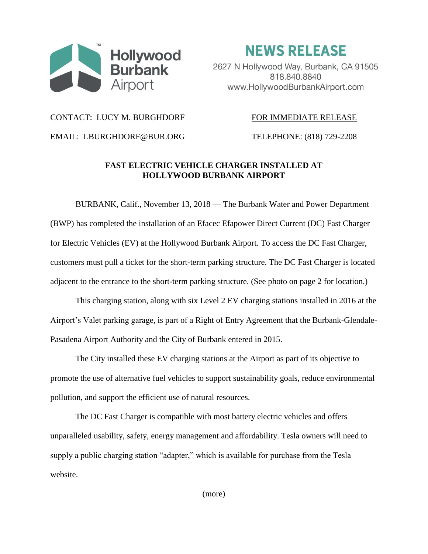

**NEWS RELEASE** 

2627 N Hollywood Way, Burbank, CA 91505 818.840.8840 www.HollywoodBurbankAirport.com

### CONTACT: LUCY M. BURGHDORF FOR IMMEDIATE RELEASE

EMAIL: LBURGHDORF@BUR.ORG TELEPHONE: (818) 729-2208

# **FAST ELECTRIC VEHICLE CHARGER INSTALLED AT HOLLYWOOD BURBANK AIRPORT**

BURBANK, Calif., November 13, 2018 — The Burbank Water and Power Department (BWP) has completed the installation of an Efacec Efapower Direct Current (DC) Fast Charger for Electric Vehicles (EV) at the Hollywood Burbank Airport. To access the DC Fast Charger, customers must pull a ticket for the short-term parking structure. The DC Fast Charger is located adjacent to the entrance to the short-term parking structure. (See photo on page 2 for location.)

This charging station, along with six Level 2 EV charging stations installed in 2016 at the Airport's Valet parking garage, is part of a Right of Entry Agreement that the Burbank-Glendale-Pasadena Airport Authority and the City of Burbank entered in 2015.

The City installed these EV charging stations at the Airport as part of its objective to promote the use of alternative fuel vehicles to support sustainability goals, reduce environmental pollution, and support the efficient use of natural resources.

The DC Fast Charger is compatible with most battery electric vehicles and offers unparalleled usability, safety, energy management and affordability. Tesla owners will need to supply a public charging station "adapter," which is available for purchase from the Tesla website.